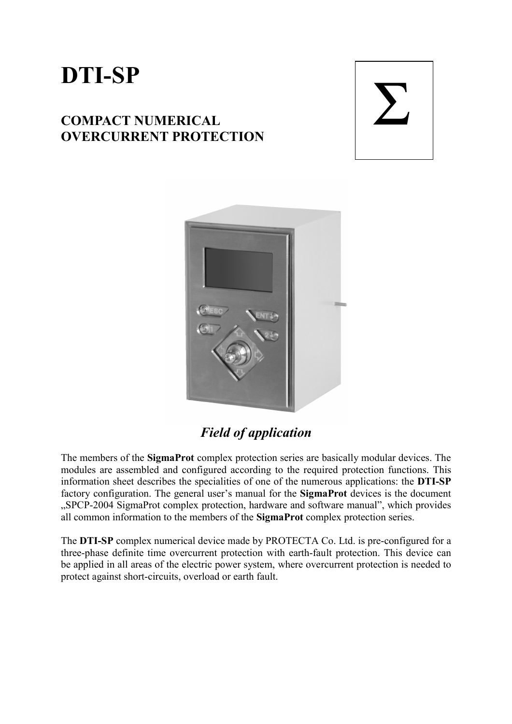# **DTI-SP**

## **COMPACT NUMERICAL OVERCURRENT PROTECTION**





# *Field of application*

The members of the **SigmaProt** complex protection series are basically modular devices. The modules are assembled and configured according to the required protection functions. This information sheet describes the specialities of one of the numerous applications: the **DTI-SP** factory configuration. The general user's manual for the **SigmaProt** devices is the document "SPCP-2004 SigmaProt complex protection, hardware and software manual", which provides all common information to the members of the **SigmaProt** complex protection series.

The **DTI-SP** complex numerical device made by PROTECTA Co. Ltd. is pre-configured for a three-phase definite time overcurrent protection with earth-fault protection. This device can be applied in all areas of the electric power system, where overcurrent protection is needed to protect against short-circuits, overload or earth fault.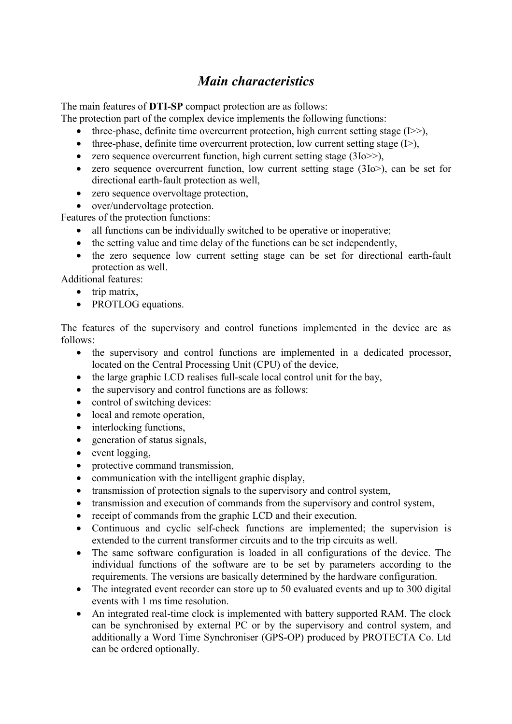#### *Main characteristics*

The main features of **DTI-SP** compact protection are as follows:

The protection part of the complex device implements the following functions:

- three-phase, definite time overcurrent protection, high current setting stage  $(I \gg)$ ,
- three-phase, definite time overcurrent protection, low current setting stage  $(I>)$ ,
- zero sequence overcurrent function, high current setting stage  $(3I_0 \gg)$ ,
- zero sequence overcurrent function, low current setting stage (3Io>), can be set for directional earth-fault protection as well,
- zero sequence overvoltage protection,
- over/undervoltage protection.

Features of the protection functions:

- all functions can be individually switched to be operative or inoperative;
- the setting value and time delay of the functions can be set independently,
- the zero sequence low current setting stage can be set for directional earth-fault protection as well.

Additional features:

- trip matrix,
- PROTLOG equations.

The features of the supervisory and control functions implemented in the device are as follows:

- the supervisory and control functions are implemented in a dedicated processor, located on the Central Processing Unit (CPU) of the device,
- the large graphic LCD realises full-scale local control unit for the bay,
- the supervisory and control functions are as follows:
- control of switching devices:
- local and remote operation,
- interlocking functions,
- generation of status signals,
- event logging,
- protective command transmission,
- communication with the intelligent graphic display,
- transmission of protection signals to the supervisory and control system,
- transmission and execution of commands from the supervisory and control system,
- receipt of commands from the graphic LCD and their execution.
- Continuous and cyclic self-check functions are implemented; the supervision is extended to the current transformer circuits and to the trip circuits as well.
- The same software configuration is loaded in all configurations of the device. The individual functions of the software are to be set by parameters according to the requirements. The versions are basically determined by the hardware configuration.
- The integrated event recorder can store up to 50 evaluated events and up to 300 digital events with 1 ms time resolution.
- An integrated real-time clock is implemented with battery supported RAM. The clock can be synchronised by external PC or by the supervisory and control system, and additionally a Word Time Synchroniser (GPS-OP) produced by PROTECTA Co. Ltd can be ordered optionally.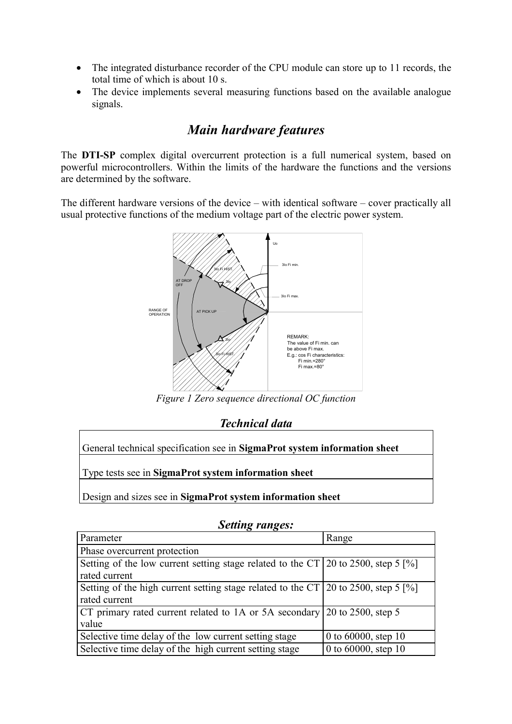- The integrated disturbance recorder of the CPU module can store up to 11 records, the total time of which is about 10 s.
- The device implements several measuring functions based on the available analogue signals.

### *Main hardware features*

The **DTI-SP** complex digital overcurrent protection is a full numerical system, based on powerful microcontrollers. Within the limits of the hardware the functions and the versions are determined by the software.

The different hardware versions of the device – with identical software – cover practically all usual protective functions of the medium voltage part of the electric power system.



*Figure 1 Zero sequence directional OC function* 

*Technical data* 

| General technical specification see in SigmaProt system information sheet |
|---------------------------------------------------------------------------|
| Type tests see in SigmaProt system information sheet                      |
|                                                                           |

Design and sizes see in **SigmaProt system information sheet**

| Parameter                                                                                        | Range                  |
|--------------------------------------------------------------------------------------------------|------------------------|
| Phase overcurrent protection                                                                     |                        |
| Setting of the low current setting stage related to the CT 20 to 2500, step 5 $\frac{8}{10}$     |                        |
| rated current                                                                                    |                        |
| Setting of the high current setting stage related to the CT $\vert$ 20 to 2500, step 5 $\vert\%$ |                        |
| rated current                                                                                    |                        |
| CT primary rated current related to 1A or 5A secondary 20 to 2500, step 5                        |                        |
| value                                                                                            |                        |
| Selective time delay of the low current setting stage                                            | 0 to $60000$ , step 10 |
| Selective time delay of the high current setting stage                                           | 0 to 60000, step 10    |

#### *Setting ranges:*